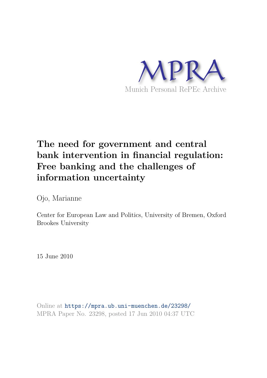

# **The need for government and central bank intervention in financial regulation: Free banking and the challenges of information uncertainty**

Ojo, Marianne

Center for European Law and Politics, University of Bremen, Oxford Brookes University

15 June 2010

Online at https://mpra.ub.uni-muenchen.de/23298/ MPRA Paper No. 23298, posted 17 Jun 2010 04:37 UTC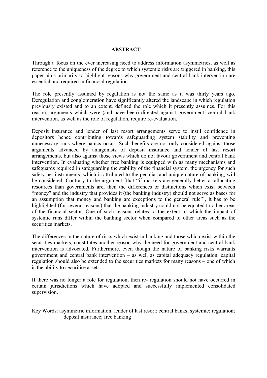#### **ABSTRACT**

Through a focus on the ever increasing need to address information asymmetries, as well as reference to the uniqueness of the degree to which systemic risks are triggered in banking, this paper aims primarily to highlight reasons why government and central bank intervention are essential and required in financial regulation.

The role presently assumed by regulation is not the same as it was thirty years ago. Deregulation and conglomeration have significantly altered the landscape in which regulation previously existed and to an extent, defined the role which it presently assumes. For this reason, arguments which were (and have been) directed against government, central bank intervention, as well as the role of regulation, require re-evaluation.

Deposit insurance and lender of last resort arrangements serve to instil confidence in depositors hence contributing towards safeguarding system stability and preventing unnecessary runs where panics occur. Such benefits are not only considered against those arguments advanced by antagonists of deposit insurance and lender of last resort arrangements, but also against those views which do not favour government and central bank intervention. In evaluating whether free banking is equipped with as many mechanisms and safeguards required in safeguarding the stability of the financial system, the urgency for such safety net instruments, which is attributed to the peculiar and unique nature of banking, will be considered. Contrary to the argument [that "if markets are generally better at allocating resources than governments are, then the differences or distinctions which exist between "money" and the industry that provides it (the banking industry) should not serve as bases for an assumption that money and banking are exceptions to the general rule"], it has to be highlighted (for several reasons) that the banking industry could not be equated to other areas of the financial sector. One of such reasons relates to the extent to which the impact of systemic runs differ within the banking sector when compared to other areas such as the securities markets.

The differences in the nature of risks which exist in banking and those which exist within the securities markets, constitutes another reason why the need for government and central bank intervention is advocated. Furthermore, even though the nature of banking risks warrants government and central bank intervention – as well as capital adequacy regulation, capital regulation should also be extended to the securities markets for many reasons – one of which is the ability to securitise assets.

If there was no longer a role for regulation, then re- regulation should not have occurred in certain jurisdictions which have adopted and successfully implemented consolidated supervision.

Key Words: asymmetric information; lender of last resort; central banks; systemic; regulation; deposit insurance; free banking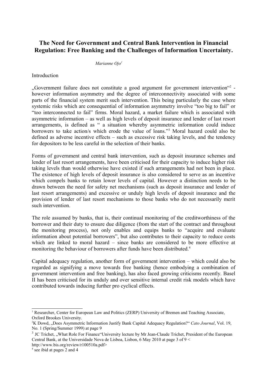# **The Need for Government and Central Bank Intervention in Financial Regulation: Free Banking and the Challenges of Information Uncertainty.**

*Marianne Ojo<sup>1</sup>*

Introduction

"Government failure does not constitute a good argument for government intervention"<sup>2</sup> however information asymmetry and the degree of interconnectivity associated with some parts of the financial system merit such intervention. This being particularly the case where systemic risks which are consequential of information asymmetry involve "too big to fail" or "too interconnected to fail" firms. Moral hazard, a market failure which is associated with asymmetric information – as well as high levels of deposit insurance and lender of last resort arrangements, is defined as " a situation whereby asymmetric information could induce borrowers to take action/s which erode the value of loans."<sup>3</sup> Moral hazard could also be defined as adverse incentive effects – such as excessive risk taking levels, and the tendency for depositors to be less careful in the selection of their banks.

Forms of government and central bank intervention, such as deposit insurance schemes and lender of last resort arrangements, have been criticised for their capacity to induce higher risk taking levels than would otherwise have existed if such arrangements had not been in place. The existence of high levels of deposit insurance is also considered to serve as an incentive which compels banks to retain lower levels of capital. However a distinction needs to be drawn between the need for safety net mechanisms (such as deposit insurance and lender of last resort arrangements) and excessive or unduly high levels of deposit insurance and the provision of lender of last resort mechanisms to those banks who do not necessarily merit such intervention.

The role assumed by banks, that is, their continual monitoring of the creditworthiness of the borrower and their duty to ensure due diligence (from the start of the contract and throughout the monitoring process), not only enables and equips banks to "acquire and evaluate information about potential borrowers", but also contributes to their capacity to reduce costs which are linked to moral hazard – since banks are considered to be more effective at monitoring the behaviour of borrowers after funds have been distributed.<sup>4</sup>

Capital adequacy regulation, another form of government intervention – which could also be regarded as signifying a move towards free banking (hence embodying a combination of government intervention and free banking), has also faced growing criticisms recently. Basel II has been criticised for its unduly and over sensitive internal credit risk models which have contributed towards inducing further pro cyclical effects.

<sup>&</sup>lt;sup>1</sup> Researcher, Center for European Law and Politics (ZERP) University of Bremen and Teaching Associate, Oxford Brookes University.

<sup>2</sup>K Dowd, "Does Asymmetric Information Justify Bank Capital Adequacy Regulation?" *Cato Journal*, Vol. 19, No. 1 (Spring/Summer 1999) at page 9

<sup>&</sup>lt;sup>3</sup> JC Trichet, "What Role For Finance"University lecture by Mr Jean-Claude Trichet, President of the European Central Bank, at the Universidade Nova de Lisboa, Lisbon, 6 May 2010 at page 3 of 9 < http://www.bis.org/review/r100510a.pdf>

<sup>&</sup>lt;sup>4</sup> see ibid at pages 2 and 4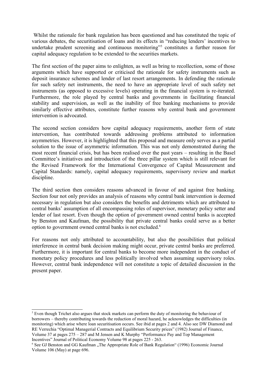Whilst the rationale for bank regulation has been questioned and has constituted the topic of various debates, the securitisation of loans and its effects in "reducing lenders' incentives to undertake prudent screening and continuous monitoring"<sup>5</sup> constitutes a further reason for capital adequacy regulation to be extended to the securities markets.

The first section of the paper aims to enlighten, as well as bring to recollection, some of those arguments which have supported or criticised the rationale for safety instruments such as deposit insurance schemes and lender of last resort arrangements. In defending the rationale for such safety net instruments, the need to have an appropriate level of such safety net instruments (as opposed to excessive levels) operating in the financial system is re-iterated. Furthermore, the role played by central banks and governments in facilitating financial stability and supervision, as well as the inability of free banking mechanisms to provide similarly effective attributes, constitute further reasons why central bank and government intervention is advocated.

The second section considers how capital adequacy requirements, another form of state intervention, has contributed towards addressing problems attributed to information asymmetries. However, it is highlighted that this proposal and measure only serves as a partial solution to the issue of asymmetric information. This was not only demonstrated during the most recent financial crisis, but has been realised over the past years – resulting in the Basel Committee's initiatives and introduction of the three pillar system which is still relevant for the Revised Framework for the International Convergence of Capital Measurement and Capital Standards: namely, capital adequacy requirements, supervisory review and market discipline.

The third section then considers reasons advanced in favour of and against free banking. Section four not only provides an analysis of reasons why central bank intervention is deemed necessary in regulation but also considers the benefits and detriments which are attributed to central banks' assumption of all encompassing roles of supervisor, monetary policy setter and lender of last resort. Even though the option of government owned central banks is accepted by Benston and Kaufman, the possibility that private central banks could serve as a better option to government owned central banks is not excluded.<sup>6</sup>

For reasons not only attributed to accountability, but also the possibilities that political interference in central bank decision making might occur, private central banks are preferred. Furthermore, it is important for central banks to become more independent in the conduct of monetary policy procedures and less politically involved when assuming supervisory roles. However, central bank independence will not constitute a topic of detailed discussion in the present paper.

<sup>&</sup>lt;sup>5</sup> Even though Trichet also argues that stock markets can perform the duty of monitoring the behaviour of borrowers – thereby contributing towards the reduction of moral hazard, he acknowledges the difficulties (in monitoring) which arise where loan securitisation occurs. See ibid at pages 2 and 4. Also see DW Diamond and RE Verrechia "Optimal Managerial Contracts and Equilibrium Security prices" (1982) Journal of Finance, Volume 37 at pages 275 – 287 and M Jensen and K Murphy "Performance Pay and Top Management Incentives" Journal of Political Economy Volume 98 at pages 225 - 263.

<sup>&</sup>lt;sup>6</sup> See GJ Benston and GG Kaufman "The Appropriate Role of Bank Regulation" (1996) Economic Journal Volume 106 (May) at page 696.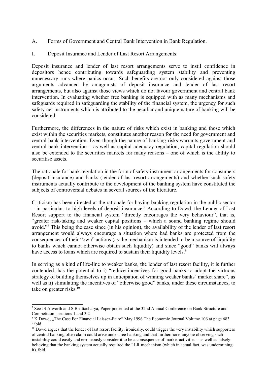- A. Forms of Government and Central Bank Intervention in Bank Regulation.
- I. Deposit Insurance and Lender of Last Resort Arrangements:

Deposit insurance and lender of last resort arrangements serve to instil confidence in depositors hence contributing towards safeguarding system stability and preventing unnecessary runs where panics occur. Such benefits are not only considered against those arguments advanced by antagonists of deposit insurance and lender of last resort arrangements, but also against those views which do not favour government and central bank intervention. In evaluating whether free banking is equipped with as many mechanisms and safeguards required in safeguarding the stability of the financial system, the urgency for such safety net instruments which is attributed to the peculiar and unique nature of banking will be considered.

Furthermore, the differences in the nature of risks which exist in banking and those which exist within the securities markets, constitutes another reason for the need for government and central bank intervention. Even though the nature of banking risks warrants government and central bank intervention – as well as capital adequacy regulation, capital regulation should also be extended to the securities markets for many reasons – one of which is the ability to securitise assets.

The rationale for bank regulation in the form of safety instrument arrangements for consumers (deposit insurance) and banks (lender of last resort arrangements) and whether such safety instruments actually contribute to the development of the banking system have constituted the subjects of controversial debates in several sources of the literature.

Criticism has been directed at the rationale for having banking regulation in the public sector – in particular, to high levels of deposit insurance.<sup>7</sup> According to Dowd, the Lender of Last Resort support to the financial system "directly encourages the very behaviour", that is, "greater risk-taking and weaker capital positions – which a sound banking regime should avoid."<sup>8</sup> This being the case since (in his opinion), the availability of the lender of last resort arrangement would always encourage a situation where bad banks are protected from the consequences of their "own" actions (as the mechanism is intended to be a source of liquidity to banks which cannot otherwise obtain such liquidity) and since "good" banks will always have access to loans which are required to sustain their liquidity levels.<sup>9</sup>

In serving as a kind of life-line to weaker banks, the lender of last resort facility, it is further contended, has the potential to i) "reduce incentives for good banks to adopt the virtuous strategy of building themselves up in anticipation of winning weaker banks' market share", as well as ii) stimulating the incentives of "otherwise good" banks, under these circumstances, to take on greater risks.<sup>10</sup>

<sup>7</sup> See JS Alworth and S Bhattacharya, Paper presented at the 32nd Annual Conference on Bank Structure and Competition , sections 1 and 3.2

<sup>&</sup>lt;sup>8</sup> K Dowd, "The Case For Financial Laissez-Faire" May 1996 The Economic Journal Volume 106 at page 683 9 ibid

<sup>&</sup>lt;sup>10</sup> Dowd argues that the lender of last resort facility, ironically, could trigger the very instability which supporters of central banking often claim could arise under free banking and that furthermore, anyone observing such instability could easily and erroneously consider it to be a consequence of market activities – as well as falsely believing that the banking system actually required the LLR mechanism (which in actual fact, was undermining it). ibid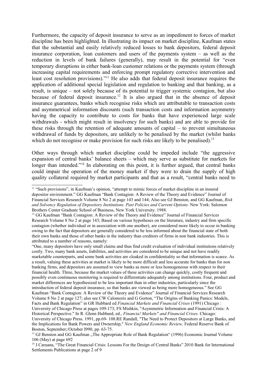Furthermore, the capacity of deposit insurance to serve as an impediment to forces of market discipline has been highlighted. In illustrating its impact on market discipline, Kaufman states that the substantial and easily relatively reduced losses to bank depositors, federal deposit insurance corporation, loan customers and users of the payments system – as well as the reduction in levels of bank failures (generally), may result in the potential for "even temporary disruptions in either bank-loan customer relations or the payments system (through increasing capital requirements and enforcing prompt regulatory corrective intervention and least cost resolution provisions)."<sup>11</sup> He also adds that federal deposit insurance requires the application of additional special legislation and regulation to banking and that banking, as a result, is unique – not solely because of its potential to trigger systemic contagion, but also because of federal deposit insurance.<sup>12</sup> It is also argued that in the absence of deposit insurance guarantees, banks which recognise risks which are attributable to transaction costs and asymmetrical information discounts (such transaction costs and information asymmetry having the capacity to contribute to costs for banks that have experienced large scale withdrawals - which might result in insolvency for such banks) and are able to provide for these risks through the retention of adequate amounts of capital – to prevent simultaneous withdrawal of funds by depositors, are unlikely to be penalised by the market (whilst banks which do not recognise or make provision for such risks are likely to be penalised).<sup>13</sup>

Other ways through which market discipline could be impeded include "the aggressive expansion of central banks' balance sheets – which may serve as substitute for markets for longer than intended."<sup>14</sup> In elaborating on this point, it is further argued, that central banks could impair the operation of the money market if they were to drain the supply of high quality collateral required by market participants and that as a result, "central banks need to

"One, many depositors have only small claims and thus find credit evaluation of individual institutions relatively costly. Two, many bank assets, liabilities, and activities are considered to be unique and not have readily marketable counterparts, and some bank activities are cloaked in confidentiality so that information is scarce. As a result, valuing these activities at market is likely to be more difficult and less accurate for banks than for non banking firms, and depositors are assumed to view banks as more or less homogeneous with respect to their financial health. Three, because the market values of these activities can change quickly, costly frequent and possibly even continuous monitoring is required to differentiate adequately among institutions. Four, product and market differences are hypothesized to be less important than in other industries, particularly since the introduction of federal deposit insurance, so that banks are viewed as being more homogeneous." See GG Kaufman "Bank Contagion: A Review of the Theory and Evidence" Journal of Financial Services Research Volume 8 No 2 at page 127; also see CW Calomoris and G Gorton, "The Origins of Banking Panics: Models, Facts and Bank Regulation" in GR Hubbard ed *Financial Markets and Financial Crises* (1991) Chicago : University of Chicago Press at pages 109-173; FS Mishkin, "Asymmetric Information and Financial Crisis: A Historical Perspective." In R. Glenn Hubbard, ed., *Financia! Markets" and Financial Crises.* Chicago: University of Chicago Press. 1991, pp.69- 108.RE Randall, "The Need to Protect Depositors at Large Banks, and the Implications for Bank Powers and Ownership," *New England Economic Review,* Federal Reserve Bank of Boston, September;/October I990, pp. 63-75.

<sup>&</sup>lt;sup>11</sup> "Such provisions", in Kaufman's opinion, "attempt to mimic forces of market discipline in an insured depositor environment." GG Kaufman "Bank Contagion: A Review of the Theory and Evidence" Journal of Financial Services Research Volume 8 No 2 at page 143 and 144; Also see GJ Benston, and GG Kaufman, *Risk*  and Solvency Regulation of Depository Institutions. Past Policies and Current Options. New York: Salomon Brothers Center Graduate School of Business, New York University. 1988.

<sup>&</sup>lt;sup>12</sup> GG Kaufman "Bank Contagion: A Review of the Theory and Evidence" Journal of Financial Services Research Volume 8 No 2 at page 143; Based on various hypotheses on the literature, industry and firm specific contagion (whether individual or in association with one another), are considered more likely to occur in banking owing to the fact that depositors are generally considered to be less informed about the financial state of both their own banks and those of other banks in the industry than creditors of firms in non bank industries. This is attributed to a number of reasons, namely:

<sup>&</sup>lt;sup>13</sup> GJ Benston and GG Kaufman "The Appropriate Role of Bank Regulation" (1996) Economic Journal Volume 106 (May) at page 692

<sup>&</sup>lt;sup>14</sup> J Caruana, "The Great Financial Crisis: Lessons For the Design of Central Banks" 2010 Bank for International Settlements Publications at page 2 of 9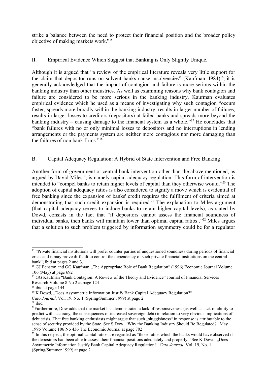strike a balance between the need to protect their financial position and the broader policy objective of making markets work."<sup>15</sup>

# II. Empirical Evidence Which Suggest that Banking is Only Slightly Unique.

Although it is argued that "a review of the empirical literature reveals very little support for the claim that depositor runs on solvent banks cause insolvencies" (Kaufman,  $1984$ )<sup>16</sup>, it is generally acknowledged that the impact of contagion and failure is more serious within the banking industry than other industries. As well as examining reasons why bank contagion and failure are considered to be more serious in the banking industry, Kaufman evaluates empirical evidence which he used as a means of investigating why such contagion "occurs faster, spreads more broadly within the banking industry, results in larger number of failures, results in larger losses to creditors (depositors) at failed banks and spreads more beyond the banking industry – causing damage to the financial system as a whole.<sup>"17</sup> He concludes that "bank failures with no or only minimal losses to depositors and no interruptions in lending arrangements or the payments system are neither more contagious nor more damaging than the failures of non bank firms."<sup>18</sup>

# B. Capital Adequacy Regulation: A Hybrid of State Intervention and Free Banking

Another form of government or central bank intervention other than the above mentioned, as argued by David Miles<sup>19</sup>, is namely capital adequacy regulation. This form of intervention is intended to "compel banks to retain higher levels of capital than they otherwise would."<sup>20</sup> The adoption of capital adequacy ratios is also considered to signify a move which is evidential of free banking since the expansion of banks' credit requires the fulfilment of criteria aimed at demonstrating that such credit expansion is required.<sup>21</sup> The explanation to Miles argument (that capital adequacy serves to induce banks to retain higher capital levels), as stated by Dowd, consists in the fact that "if depositors cannot assess the financial soundness of individual banks, then banks will maintain lower than optimal capital ratios ."<sup>22</sup> Miles argues that a solution to such problem triggered by information asymmetry could be for a regulator

<sup>&</sup>lt;sup>15</sup> "Private financial institutions will prefer counter parties of unquestioned soundness during periods of financial crisis and it may prove difficult to control the dependency of such private financial institutions on the central bank"; ibid at pages 2 and 3.

<sup>&</sup>lt;sup>16</sup> GJ Benston and GG Kaufman "The Appropriate Role of Bank Regulation" (1996) Economic Journal Volume 106 (May) at page 692

<sup>&</sup>lt;sup>17</sup> GG Kaufman "Bank Contagion: A Review of the Theory and Evidence" Journal of Financial Services Research Volume 8 No 2 at page 124

<sup>&</sup>lt;sup>18</sup> ibid at page 144

<sup>&</sup>lt;sup>19</sup> K Dowd, "Does Asymmetric Information Justify Bank Capital Adequacy Regulation?"

*Cato Journal*, Vol. 19, No. 1 (Spring/Summer 1999) at page 2

 $20$  ibid

<sup>&</sup>lt;sup>21</sup>Furthermore, Dow adds that the market has demonstrated a lack of responsiveness (as well as lack of ability to predict with accuracy, the consequences of increased sovereign debt) in relation to very obvious implications of debt crisis. That free banking enthusiasts might argue that such , sluggishness" in response is attributable to the sense of security provided by the State. See S Dow, "Why the Banking Industry Should Be Regulated?" May 1996 Volume 106 No 436 The Economic Journal at page 702

 $22$  In this respect, the optimal capital ratios are regarded as "those ratios which the banks would have observed if the depositors had been able to assess their financial positions adequately and properly." See K Dowd, "Does Asymmetric Information Justify Bank Capital Adequacy Regulation?" *Cato Journal*, Vol. 19, No. 1 (Spring/Summer 1999) at page 2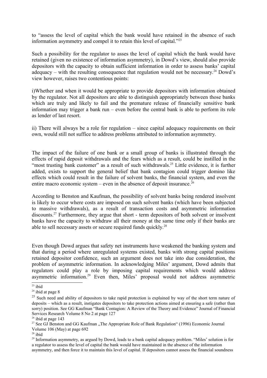to "assess the level of capital which the bank would have retained in the absence of such information asymmetry and compel it to retain this level of capital."<sup>23</sup>

Such a possibility for the regulator to asses the level of capital which the bank would have retained (given no existence of information asymmetry), in Dowd's view, should also provide depositors with the capacity to obtain sufficient information in order to assess banks' capital adequacy – with the resulting consequence that regulation would not be necessary.<sup>24</sup> Dowd's view however, raises two contentious points:

i)Whether and when it would be appropriate to provide depositors with information obtained by the regulator. Not all depositors are able to distinguish appropriately between those banks which are truly and likely to fail and the premature release of financially sensitive bank information may trigger a bank run – even before the central bank is able to perform its role as lender of last resort.

ii) There will always be a role for regulation – since capital adequacy requirements on their own, would still not suffice to address problems attributed to information asymmetry.

The impact of the failure of one bank or a small group of banks is illustrated through the effects of rapid deposit withdrawals and the fears which as a result, could be instilled in the "most trusting bank customer" as a result of such withdrawals.<sup>25</sup> Little evidence, it is further added, exists to support the general belief that bank contagion could trigger domino like effects which could result in the failure of solvent banks, the financial system, and even the entire macro economic system – even in the absence of deposit insurance.<sup>26</sup>

According to Benston and Kaufman, the possibility of solvent banks being rendered insolvent is likely to occur where costs are imposed on such solvent banks (which have been subjected to massive withdrawals), as a result of transaction costs and asymmetric information discounts.<sup>27</sup> Furthermore, they argue that short - term depositors of both solvent or insolvent banks have the capacity to withdraw all their money at the same time only if their banks are able to sell necessary assets or secure required funds quickly.<sup>28</sup>

Even though Dowd argues that safety net instruments have weakened the banking system and that during a period where unregulated systems existed, banks with strong capital positions retained depositor confidence, such an argument does not take into due consideration, the problem of asymmetric information. In acknowledging Miles' argument, Dowd admits that regulators could play a role by imposing capital requirements which would address asymmetric information.<sup>29</sup> Even then, Miles' proposal would not address asymmetric

 $23$  ibid

 $24$  ibid at page 8

<sup>&</sup>lt;sup>25</sup> Such need and ability of depositors to take rapid protection is explained by way of the short term nature of deposits – which as a result, instigates depositors to take protection actions aimed at ensuring a safe (rather than sorry) position. See GG Kaufman "Bank Contagion: A Review of the Theory and Evidence" Journal of Financial Services Research Volume 8 No 2 at page 127

 $26$  ibid at page 143

<sup>&</sup>lt;sup>27</sup> See GJ Benston and GG Kaufman "The Appropriate Role of Bank Regulation" (1996) Economic Journal Volume 106 (May) at page 692

<sup>28</sup> ibid

<sup>&</sup>lt;sup>29</sup> Information asymmetry, as argued by Dowd, leads to a bank capital adequacy problem. "Miles' solution is for a regulator to assess the level of capital the bank would have maintained in the absence of the information asymmetry, and then force it to maintain this level of capital. If depositors cannot assess the financial soundness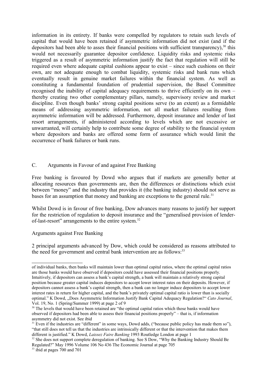information in its entirety. If banks were compelled by regulators to retain such levels of capital that would have been retained if asymmetric information did not exist (and if the depositors had been able to asses their financial positions with sufficient transparency),  $30$  this would not necessarily guarantee depositor confidence. Liquidity risks and systemic risks triggered as a result of asymmetric information justify the fact that regulation will still be required even where adequate capital cushions appear to exist – since such cushions on their own, are not adequate enough to combat liquidity, systemic risks and bank runs which eventually result in genuine market failures within the financial system. As well as constituting a fundamental foundation of prudential supervision, the Basel Committee recognised the inability of capital adequacy requirements to thrive efficiently on its own – thereby creating two other complementary pillars, namely, supervisory review and market discipline. Even though banks' strong capital positions serve (to an extent) as a formidable means of addressing asymmetric information, not all market failures resulting from asymmetric information will be addressed. Furthermore, deposit insurance and lender of last resort arrangements, if administered according to levels which are not excessive or unwarranted, will certainly help to contribute some degree of stability to the financial system where depositors and banks are offered some form of assurance which would limit the occurrence of bank failures or bank runs.

C. Arguments in Favour of and against Free Banking

Free banking is favoured by Dowd who argues that if markets are generally better at allocating resources than governments are, then the differences or distinctions which exist between "money" and the industry that provides it (the banking industry) should not serve as bases for an assumption that money and banking are exceptions to the general rule.<sup>31</sup>

Whilst Dowd is in favour of free banking, Dow advances many reasons to justify her support for the restriction of regulation to deposit insurance and the "generalised provision of lenderof-last-resort" arrangements to the entire system.<sup>32</sup>

#### Arguments against Free Banking

2 principal arguments advanced by Dow, which could be considered as reasons attributed to the need for government and central bank intervention are as follows:<sup>33</sup>

of individual banks, then banks will maintain lower than optimal capital ratios, where the optimal capital ratios are those banks would have observed if depositors could have assessed their financial positions properly. Intuitively, if depositors can assess a bank's capital strength, a bank will maintain a relatively strong capital position because greater capital induces depositors to accept lower interest rates on their deposits. However, if depositors cannot assess a bank's capital strength, then a bank can no longer induce depositors to accept lower interest rates in return for higher capital, and the bank's privately optimal capital ratio is lower than is socially optimal." K Dowd, "Does Asymmetric Information Justify Bank Capital Adequacy Regulation?" *Cato Journal*, Vol. 19, No. 1 (Spring/Summer 1999) at page 2 of 9

<sup>&</sup>lt;sup>30</sup> The levels that would have been retained are "the optimal capital ratios which those banks would have observed if depositors had been able to assess their financial positions properly" – that is, if information asymmetry did not exist. See ibid

<sup>&</sup>lt;sup>31</sup> Even if the industries are "different" in some ways, Dowd adds, ("because public policy has made them so"), "that still does not tell us that the industries are intrinsically different or that the intervention that makes them different is justified." K Dowd, *Laissez Faire Banking* 1993 Routledge London at page 1

<sup>&</sup>lt;sup>32</sup> She does not support complete deregulation of banking. See S Dow, "Why the Banking Industry Should Be Regulated?" May 1996 Volume 106 No 436 The Economic Journal at page 705

 $33$  ibid at pages 700 and 701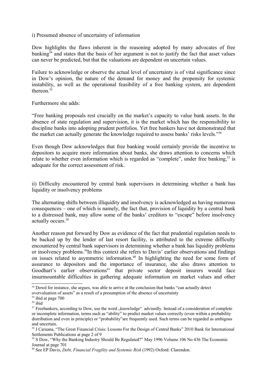i) Presumed absence of uncertainty of information

Dow highlights the flaws inherent in the reasoning adopted by many advocates of free banking $34$  and states that the basis of her argument is not to justify the fact that asset values can never be predicted, but that the valuations are dependent on uncertain values.

Failure to acknowledge or observe the actual level of uncertainty is of vital significance since in Dow's opinion, the nature of the demand for money and the propensity for systemic instability, as well as the operational feasibility of a free banking system, are dependent thereon<sup>35</sup>

Furthermore she adds:

"Free banking proposals rest crucially on the market's capacity to value bank assets. In the absence of state regulation and supervision, it is the market which has the responsibility to discipline banks into adopting prudent portfolios. Yet free bankers have not demonstrated that the market can actually generate the knowledge required to assess banks' risks levels."<sup>36</sup>

Even though Dow acknowledges that free banking would certainly provide the incentive to depositors to acquire more information about banks, she draws attention to concerns which relate to whether even information which is regarded as "complete", under free banking, $37$  is adequate for the correct assessment of risk.

ii) Difficulty encountered by central bank supervisors in determining whether a bank has liquidity or insolvency problems

The alternating shifts between illiquidity and insolvency is acknowledged as having numerous consequences – one of which is namely, the fact that, provision of liquidity by a central bank to a distressed bank, may allow some of the banks' creditors to "escape" before insolvency actually occurs.<sup>38</sup>

Another reason put forward by Dow as evidence of the fact that prudential regulation needs to be backed up by the lender of last resort facility, is attributed to the extreme difficulty encountered by central bank supervisors in determining whether a bank has liquidity problems or insolvency problems.<sup>39</sup>In this context she refers to Davis' earlier observations and findings on issues related to asymmetric information.<sup>40</sup> In highlighting the need for some form of assurance to depositors and the importance of insurance, she also draws attention to Goodhart's earlier observations<sup>41</sup> that private sector deposit insurers would face insurmountable difficulties in gathering adequate information on market values and other

<sup>&</sup>lt;sup>34</sup> Dowd for instance, she argues, was able to arrive at the conclusion that banks "can actually detect"

overvaluation of assets" as a result of a presumption of the absence of uncertainty

 $35$  ibid at page 700

<sup>36</sup> ibid

<sup>&</sup>lt;sup>37</sup> Freebankers, according to Dow, use the word "knowledge" advisedly. Instead of a consideration of complete or incomplete information, terms such as "ability" to predict market values correctly (even within a probability distribution and even in principle) or "probability"are frequently used. Such terms can be regarded as ambigous and uncertain.

<sup>&</sup>lt;sup>38</sup> J Caruana, "The Great Financial Crisis: Lessons For the Design of Central Banks" 2010 Bank for International Settlements Publications at page 2 of 9

<sup>&</sup>lt;sup>39</sup> S Dow, "Why the Banking Industry Should Be Regulated?" May 1996 Volume 106 No 436 The Economic Journal at page 701

<sup>40</sup> See EP Davis, *Debt, Financial Fragility and Systemic Risk* (1992) Oxford: Clarendon.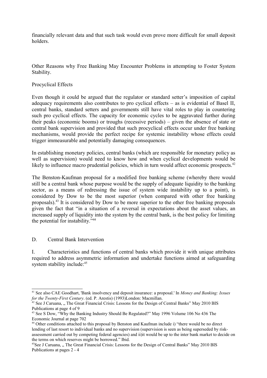financially relevant data and that such task would even prove more difficult for small deposit holders.

Other Reasons why Free Banking May Encounter Problems in attempting to Foster System Stability.

### Procyclical Effects

Even though it could be argued that the regulator or standard setter's imposition of capital adequacy requirements also contributes to pro cyclical effects – as is evidential of Basel II, central banks, standard setters and governments still have vital roles to play in countering such pro cyclical effects. The capacity for economic cycles to be aggravated further during their peaks (economic booms) or troughs (recessive periods) – given the absence of state or central bank supervision and provided that such procyclical effects occur under free banking mechanisms, would provide the perfect recipe for systemic instability whose effects could trigger immeasurable and potentially damaging consequences.

In establishing monetary policies, central banks (which are responsible for monetary policy as well as supervision) would need to know how and when cyclical developments would be likely to influence macro prudential policies, which in turn would affect economic prospects.<sup>42</sup>

The Benston-Kaufman proposal for a modified free banking scheme (whereby there would still be a central bank whose purpose would be the supply of adequate liquidity to the banking sector, as a means of redressing the issue of system wide instability up to a point), is considered by Dow to be the most superior (when compared with other free banking proposals).<sup>43</sup> It is considered by Dow to be more superior to the other free banking proposals given the fact that "in a situation of a reversal in expectations about the asset values, an increased supply of liquidity into the system by the central bank, is the best policy for limiting the potential for instability."<sup>44</sup>

# D. Central Bank Intervention

I. Characteristics and functions of central banks which provide it with unique attributes required to address asymmetric information and undertake functions aimed at safeguarding system stability include:<sup>45</sup>

<sup>41</sup> See also CAE Goodhart, 'Bank insolvency and deposit insurance: a proposal.' In *Money and Banking: Issues for the Twenty-First Century*. (ed. P. Arestis) (1993)London: Macmillan.

 $\frac{42}{4}$  See J Caruana,  $\ldots$  The Great Financial Crisis: Lessons for the Design of Central Banks" May 2010 BIS Publications at page 4 of 9

<sup>&</sup>lt;sup>43</sup> See S Dow, "Why the Banking Industry Should Be Regulated?" May 1996 Volume 106 No 436 The Economic Journal at page 702

<sup>44</sup> Other conditions attached to this proposal by Benston and Kaufman include i) "there would be no direct lending of last resort to individual banks and no supervision (supervision is seen as being superseded by riskassessment carried out by competing federal agencies) and ii)it would be up to the inter bank market to decide on the terms on which reserves might be borrowed." Ibid.

<sup>&</sup>lt;sup>45</sup>See J Caruana, "The Great Financial Crisis: Lessons for the Design of Central Banks" May 2010 BIS Publications at pages 2 - 4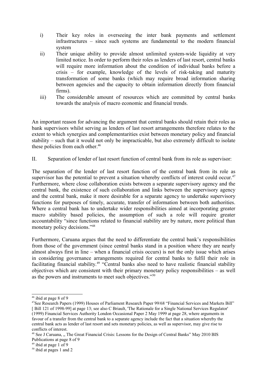- i) Their key roles in overseeing the inter bank payments and settlement infrastructures – since such systems are fundamental to the modern financial system
- ii) Their unique ability to provide almost unlimited system-wide liquidity at very limited notice. In order to perform their roles as lenders of last resort, central banks will require more information about the condition of individual banks before a crisis – for example, knowledge of the levels of risk-taking and maturity transformation of some banks (which may require broad information sharing between agencies and the capacity to obtain information directly from financial firms).
- iii) The considerable amount of resources which are committed by central banks towards the analysis of macro economic and financial trends.

An important reason for advancing the argument that central banks should retain their roles as bank supervisors whilst serving as lenders of last resort arrangements therefore relates to the extent to which synergies and complementarities exist between monetary policy and financial stability – such that it would not only be impracticable, but also extremely difficult to isolate these policies from each other.<sup>46</sup>

II. Separation of lender of last resort function of central bank from its role as supervisor:

The separation of the lender of last resort function of the central bank from its role as supervisor has the potential to prevent a situation whereby conflicts of interest could occur. $47$ Furthermore, where close collaboration exists between a separate supervisory agency and the central bank, the existence of such collaboration and links between the supervisory agency and the central bank, make it more desirable for a separate agency to undertake supervisory functions for purposes of timely, accurate, transfer of information between both authorities. Where a central bank has to undertake wider responsibilities aimed at incorporating greater macro stability based policies, the assumption of such a role will require greater accountability "since functions related to financial stability are by nature, more political than monetary policy decisions."<sup>48</sup>

Furthermore, Caruana argues that the need to differentiate the central bank's responsibilities from those of the government (since central banks stand in a position where they are nearly almost always first in line – when a financial crisis occurs) is not the only issue which arises in considering governance arrangements required for central banks to fulfil their role in facilitating financial stability.<sup>49</sup> "Central banks also need to have realistic financial stability objectives which are consistent with their primary monetary policy responsibilities – as well as the powers and instruments to meet such objectives."<sup>50</sup>

<sup>46</sup> ibid at page 8 of 9

<sup>47</sup>See Research Papers (1999) Houses of Parliament Research Paper 99/68 "Financial Services and Markets Bill" [ Bill 121 of 1998-99] at page 13; see also C Briault, 'The Rationale for a Single National Services Regulator' (1999) Financial Services Authority London Occasional Paper 2 May 1999 at page 28, where arguments in favour of a transfer from the central bank to a separate agency include the fact that a situation whereby the central bank acts as lender of last resort and sets monetary policies, as well as supervisor, may give rise to conflicts of interest.

<sup>&</sup>lt;sup>48</sup> See J Caruana, " The Great Financial Crisis: Lessons for the Design of Central Banks" May 2010 BIS Publications at page 8 of 9

 $49$  ibid at page 1 of 9

 $50$  ibid at pages 1 and 2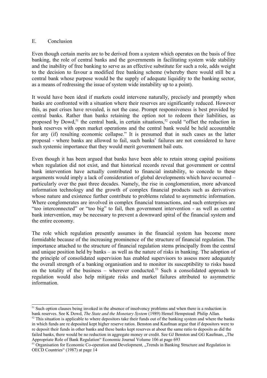#### E. Conclusion

Even though certain merits are to be derived from a system which operates on the basis of free banking, the role of central banks and the governments in facilitating system wide stability and the inability of free banking to serve as an effective substitute for such a role, adds weight to the decision to favour a modified free banking scheme (whereby there would still be a central bank whose purpose would be the supply of adequate liquidity to the banking sector, as a means of redressing the issue of system wide instability up to a point).

It would have been ideal if markets could intervene naturally, precisely and promptly when banks are confronted with a situation where their reserves are significantly reduced. However this, as past crises have revealed, is not the case. Prompt responsiveness is best provided by central banks. Rather than banks retaining the option not to redeem their liabilities, as proposed by Dowd,<sup>51</sup> the central bank, in certain situations,<sup>52</sup> could "offset the reduction in bank reserves with open market operations and the central bank would be held accountable for any (if) resulting economic collapse." It is presumed that in such cases as the latter proposal - where banks are allowed to fail, such banks' failures are not considered to have such systemic importance that they would merit government bail outs.

Even though it has been argued that banks have been able to retain strong capital positions when regulation did not exist, and that historical records reveal that government or central bank intervention have actually contributed to financial instability, to concede to these arguments would imply a lack of consideration of global developments which have occurred – particularly over the past three decades. Namely, the rise in conglomeration, more advanced information technology and the growth of complex financial products such as derivatives whose nature and existence further contribute to problems related to asymmetric information. Where conglomerates are involved in complex financial transactions, and such enterprises are "too interconnected" or "too big" to fail, then government intervention - as well as central bank intervention, may be necessary to prevent a downward spiral of the financial system and the entire economy.

The role which regulation presently assumes in the financial system has become more formidable because of the increasing prominence of the structure of financial regulation. The importance attached to the structure of financial regulation stems principally from the central and unique position held by banks – as well as the nature of risks in banking. The adoption of the principle of consolidated supervision has enabled supervisors to assess more adequately the overall strength of a banking organisation and to monitor its susceptibility to risks based on the totality of the business – wherever conducted.<sup>53</sup> Such a consolidated approach to regulation would also help mitigate risks and market failures attributed to asymmetric information.

<sup>&</sup>lt;sup>51</sup> Such option clauses being invoked in the absence of insolvency problems and when there is a reduction in bank reserves. See K Dowd, *The State and the Monetary System* (1989) Hemel Hempstead: Philip Allan.

 $52$  This situation is applicable to where depositors take their funds out of the banking system and where the banks in which funds are re deposited kept higher reserve ratios. Benston and Kaufman argue that if depositors were to re deposit their funds in other banks and these banks kept reserves at about the same ratio to deposits as did the failed banks, there would be no reduction in aggregate money or credit. See GJ Benston and GG Kaufman, "The Appropriate Role of Bank Regulation" Economic Journal Volume 106 at page 693

 $53$  Organisation for Economic Co-operation and Development, "Trends in Banking Structure and Regulation in OECD Countries" (1987) at page 14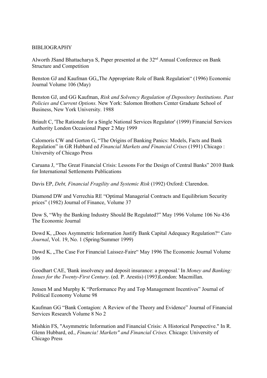#### BIBLIOGRAPHY

Alworth JSand Bhattacharya S, Paper presented at the 32nd Annual Conference on Bank Structure and Competition

Benston GJ and Kaufman GG, The Appropriate Role of Bank Regulation" (1996) Economic Journal Volume 106 (May)

Benston GJ, and GG Kaufman, *Risk and Solvency Regulation of Depository Institutions. Past Policies and Current Options.* New York: Salomon Brothers Center Graduate School of Business, New York University. 1988

Briault C, 'The Rationale for a Single National Services Regulator' (1999) Financial Services Authority London Occasional Paper 2 May 1999

Calomoris CW and Gorton G, "The Origins of Banking Panics: Models, Facts and Bank Regulation" in GR Hubbard ed *Financial Markets and Financial Crises* (1991) Chicago : University of Chicago Press

Caruana J, "The Great Financial Crisis: Lessons For the Design of Central Banks" 2010 Bank for International Settlements Publications

Davis EP, *Debt, Financial Fragility and Systemic Risk* (1992) Oxford: Clarendon.

Diamond DW and Verrechia RE "Optimal Managerial Contracts and Equilibrium Security prices" (1982) Journal of Finance, Volume 37

Dow S, "Why the Banking Industry Should Be Regulated?" May 1996 Volume 106 No 436 The Economic Journal

Dowd K, "Does Asymmetric Information Justify Bank Capital Adequacy Regulation?" *Cato Journal*, Vol. 19, No. 1 (Spring/Summer 1999)

Dowd K, "The Case For Financial Laissez-Faire" May 1996 The Economic Journal Volume 106

Goodhart CAE, 'Bank insolvency and deposit insurance: a proposal.' In *Money and Banking: Issues for the Twenty-First Century*. (ed. P. Arestis) (1993)London: Macmillan.

Jensen M and Murphy K "Performance Pay and Top Management Incentives" Journal of Political Economy Volume 98

Kaufman GG "Bank Contagion: A Review of the Theory and Evidence" Journal of Financial Services Research Volume 8 No 2

Mishkin FS, "Asymmetric Information and Financial Crisis: A Historical Perspective." In R. Glenn Hubbard, ed., *Financia! Markets" and Financial Crises.* Chicago: University of Chicago Press